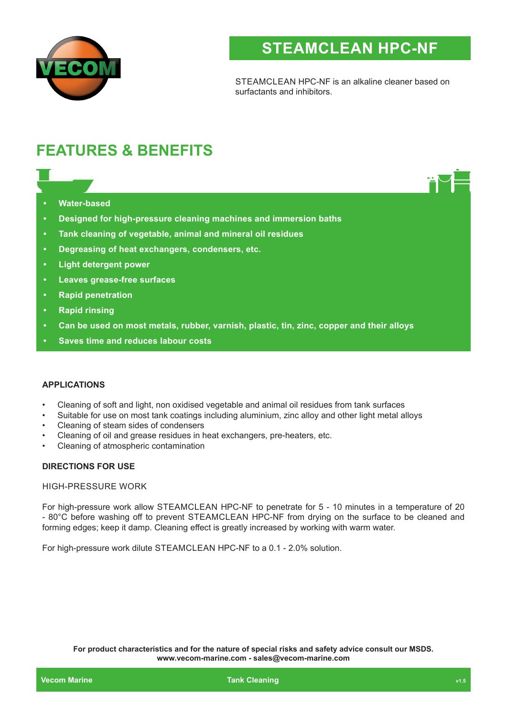

# **STEAMCLEAN HPC-NF**

STEAMCLEAN HPC-NF is an alkaline cleaner based on surfactants and inhibitors.

## **FEATURES & BENEFITS**

- **• Water-based**
- **• Designed for high-pressure cleaning machines and immersion baths**
- **• Tank cleaning of vegetable, animal and mineral oil residues**
- **• Degreasing of heat exchangers, condensers, etc.**
- **• Light detergent power**
- **• Leaves grease-free surfaces**
- **• Rapid penetration**
- **• Rapid rinsing**
- **• Can be used on most metals, rubber, varnish, plastic, tin, zinc, copper and their alloys**
- **• Saves time and reduces labour costs**

#### **APPLICATIONS**

- Cleaning of soft and light, non oxidised vegetable and animal oil residues from tank surfaces
- Suitable for use on most tank coatings including aluminium, zinc alloy and other light metal alloys
- Cleaning of steam sides of condensers
- Cleaning of oil and grease residues in heat exchangers, pre-heaters, etc.
- Cleaning of atmospheric contamination

#### **DIRECTIONS FOR USE**

#### HIGH-PRESSURE WORK

For high-pressure work allow STEAMCLEAN HPC-NF to penetrate for 5 - 10 minutes in a temperature of 20 - 80°C before washing off to prevent STEAMCLEAN HPC-NF from drying on the surface to be cleaned and forming edges; keep it damp. Cleaning effect is greatly increased by working with warm water.

For high-pressure work dilute STEAMCLEAN HPC-NF to a 0.1 - 2.0% solution.

**For product characteristics and for the nature of special risks and safety advice consult our MSDS. www.vecom-marine.com - sales@vecom-marine.com**